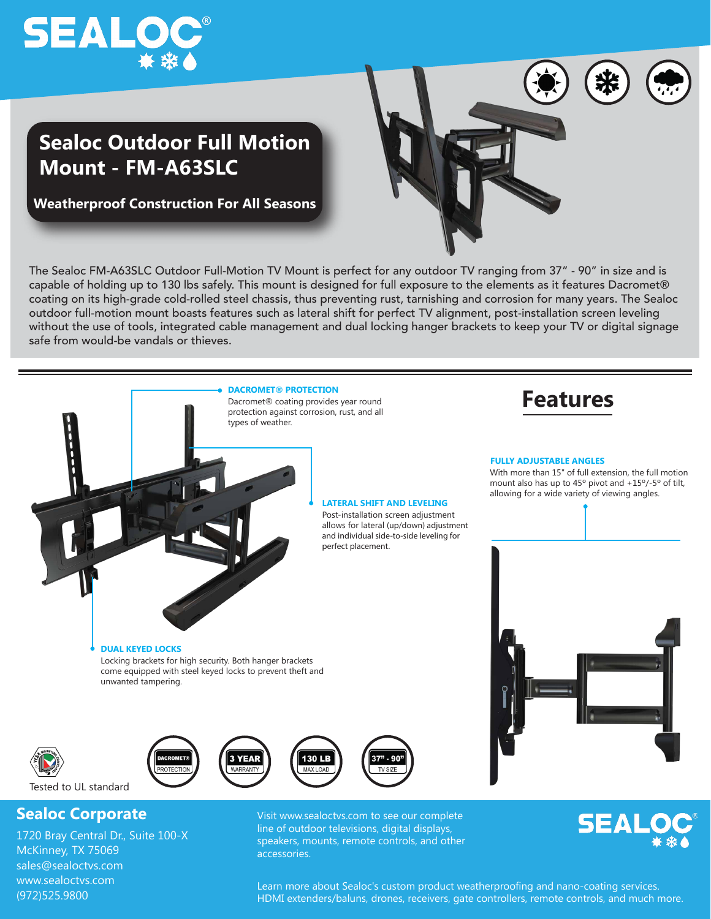



## **Sealoc Outdoor Full Motion Mount - FM-A63SLC**

**Weatherproof Construction For All Seasons**





McKinney, TX 75069 sales@sealoctvs.com www.sealoctvs.com (972)525.9800

speakers, mounts, remote controls, and other accessories.



Learn more about Sealoc's custom product weatherproofing and nano-coating services. HDMI extenders/baluns, drones, receivers, gate controllers, remote controls, and much more.